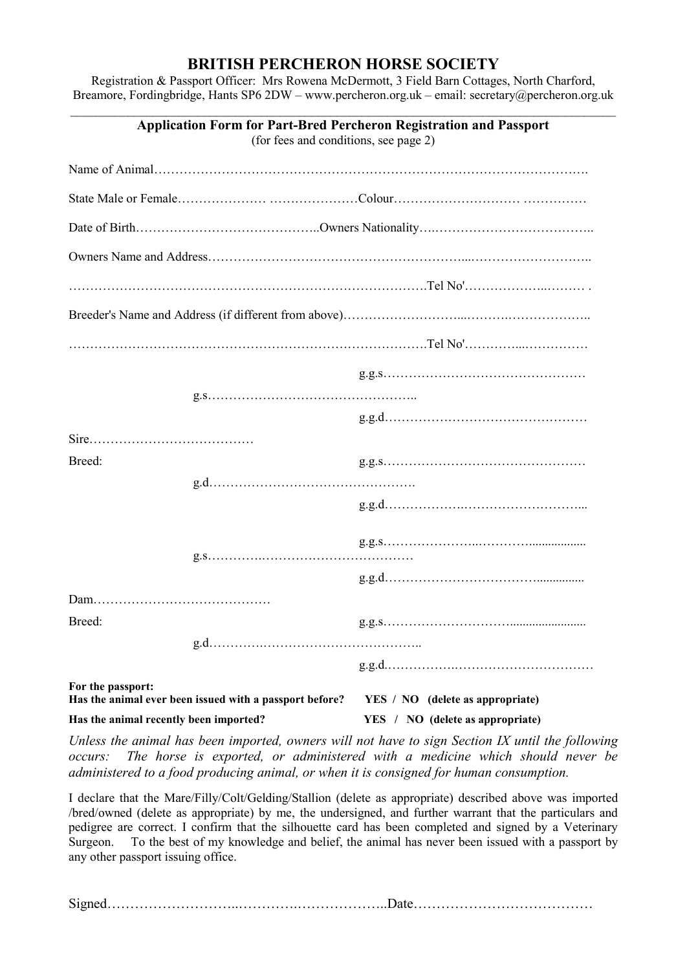## **BRITISH PERCHERON HORSE SOCIETY**

Registration & Passport Officer: Mrs Rowena McDermott, 3 Field Barn Cottages, North Charford, Breamore, Fordingbridge, Hants SP6 2DW – [www.percheron.org.uk](http://www.percheron.org.uk/) – email: secretary@percheron.org.uk \_\_\_\_\_\_\_\_\_\_\_\_\_\_\_\_\_\_\_\_\_\_\_\_\_\_\_\_\_\_\_\_\_\_\_\_\_\_\_\_\_\_\_\_\_\_\_\_\_\_\_\_\_\_\_\_\_\_\_\_\_\_\_\_\_\_\_\_\_\_\_\_\_\_\_\_\_\_\_\_\_\_\_\_\_\_

| <b>Application Form for Part-Bred Percheron Registration and Passport</b><br>(for fees and conditions, see page 2) |      |                                         |  |  |
|--------------------------------------------------------------------------------------------------------------------|------|-----------------------------------------|--|--|
|                                                                                                                    |      |                                         |  |  |
|                                                                                                                    |      |                                         |  |  |
|                                                                                                                    |      |                                         |  |  |
|                                                                                                                    |      |                                         |  |  |
|                                                                                                                    |      |                                         |  |  |
|                                                                                                                    |      |                                         |  |  |
|                                                                                                                    |      |                                         |  |  |
|                                                                                                                    |      |                                         |  |  |
|                                                                                                                    |      |                                         |  |  |
|                                                                                                                    |      |                                         |  |  |
| Breed:                                                                                                             |      |                                         |  |  |
|                                                                                                                    |      |                                         |  |  |
|                                                                                                                    |      |                                         |  |  |
|                                                                                                                    |      |                                         |  |  |
| Breed:                                                                                                             |      |                                         |  |  |
|                                                                                                                    | g.d. |                                         |  |  |
|                                                                                                                    |      |                                         |  |  |
| For the passport:<br>Has the animal ever been issued with a passport before?                                       |      | <b>YES</b> / NO (delete as appropriate) |  |  |
| Has the animal recently been imported?                                                                             |      | YES / NO (delete as appropriate)        |  |  |

*Unless the animal has been imported, owners will not have to sign Section IX until the following occurs: The horse is exported, or administered with a medicine which should never be administered to a food producing animal, or when it is consigned for human consumption.*

I declare that the Mare/Filly/Colt/Gelding/Stallion (delete as appropriate) described above was imported /bred/owned (delete as appropriate) by me, the undersigned, and further warrant that the particulars and pedigree are correct. I confirm that the silhouette card has been completed and signed by a Veterinary Surgeon. To the best of my knowledge and belief, the animal has never been issued with a passport by any other passport issuing office.

Signed………………………..………….………………..Date…………………………………